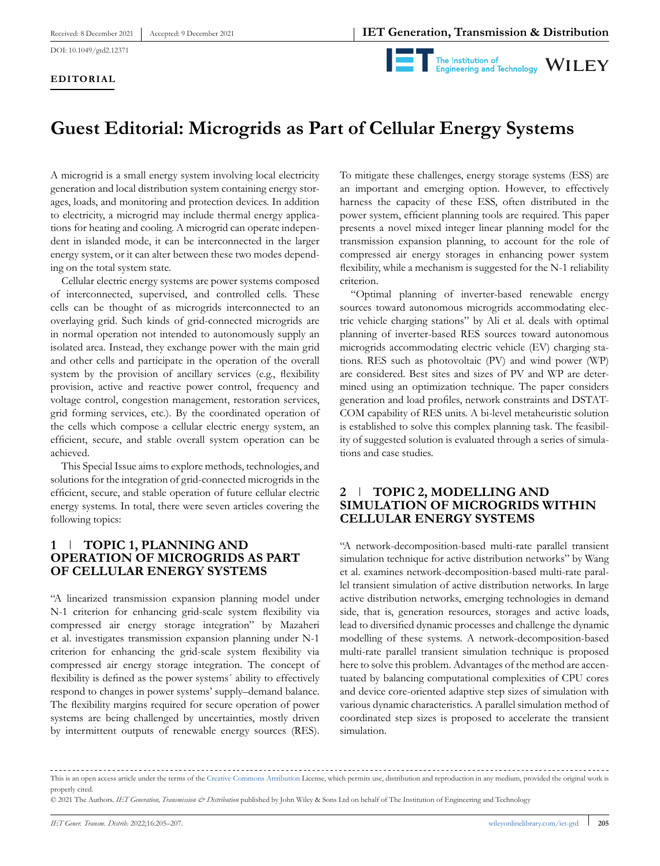



# **Guest Editorial: Microgrids as Part of Cellular Energy Systems**

A microgrid is a small energy system involving local electricity generation and local distribution system containing energy storages, loads, and monitoring and protection devices. In addition to electricity, a microgrid may include thermal energy applications for heating and cooling. A microgrid can operate independent in islanded mode, it can be interconnected in the larger energy system, or it can alter between these two modes depending on the total system state.

Cellular electric energy systems are power systems composed of interconnected, supervised, and controlled cells. These cells can be thought of as microgrids interconnected to an overlaying grid. Such kinds of grid-connected microgrids are in normal operation not intended to autonomously supply an isolated area. Instead, they exchange power with the main grid and other cells and participate in the operation of the overall system by the provision of ancillary services (e.g., flexibility provision, active and reactive power control, frequency and voltage control, congestion management, restoration services, grid forming services, etc.). By the coordinated operation of the cells which compose a cellular electric energy system, an efficient, secure, and stable overall system operation can be achieved.

This Special Issue aims to explore methods, technologies, and solutions for the integration of grid-connected microgrids in the efficient, secure, and stable operation of future cellular electric energy systems. In total, there were seven articles covering the following topics:

## **1 TOPIC 1, PLANNING AND OPERATION OF MICROGRIDS AS PART OF CELLULAR ENERGY SYSTEMS**

"A linearized transmission expansion planning model under N-1 criterion for enhancing grid-scale system flexibility via compressed air energy storage integration" by Mazaheri et al. investigates transmission expansion planning under N-1 criterion for enhancing the grid-scale system flexibility via compressed air energy storage integration. The concept of flexibility is defined as the power systems´ ability to effectively respond to changes in power systems' supply–demand balance. The flexibility margins required for secure operation of power systems are being challenged by uncertainties, mostly driven by intermittent outputs of renewable energy sources (RES). To mitigate these challenges, energy storage systems (ESS) are an important and emerging option. However, to effectively harness the capacity of these ESS, often distributed in the power system, efficient planning tools are required. This paper presents a novel mixed integer linear planning model for the transmission expansion planning, to account for the role of compressed air energy storages in enhancing power system flexibility, while a mechanism is suggested for the N-1 reliability criterion.

"Optimal planning of inverter-based renewable energy sources toward autonomous microgrids accommodating electric vehicle charging stations" by Ali et al. deals with optimal planning of inverter-based RES sources toward autonomous microgrids accommodating electric vehicle (EV) charging stations. RES such as photovoltaic (PV) and wind power (WP) are considered. Best sites and sizes of PV and WP are determined using an optimization technique. The paper considers generation and load profiles, network constraints and DSTAT-COM capability of RES units. A bi-level metaheuristic solution is established to solve this complex planning task. The feasibility of suggested solution is evaluated through a series of simulations and case studies.

## **2 TOPIC 2, MODELLING AND SIMULATION OF MICROGRIDS WITHIN CELLULAR ENERGY SYSTEMS**

"A network-decomposition-based multi-rate parallel transient simulation technique for active distribution networks" by Wang et al. examines network-decomposition-based multi-rate parallel transient simulation of active distribution networks. In large active distribution networks, emerging technologies in demand side, that is, generation resources, storages and active loads, lead to diversified dynamic processes and challenge the dynamic modelling of these systems. A network-decomposition-based multi-rate parallel transient simulation technique is proposed here to solve this problem. Advantages of the method are accentuated by balancing computational complexities of CPU cores and device core-oriented adaptive step sizes of simulation with various dynamic characteristics. A parallel simulation method of coordinated step sizes is proposed to accelerate the transient simulation.

This is an open access article under the terms of the [Creative Commons Attribution](http://creativecommons.org/licenses/by/4.0/) License, which permits use, distribution and reproduction in any medium, provided the original work is properly cited.

<sup>© 2021</sup> The Authors. *IET Generation, Transmission & Distribution* published by John Wiley & Sons Ltd on behalf of The Institution of Engineering and Technology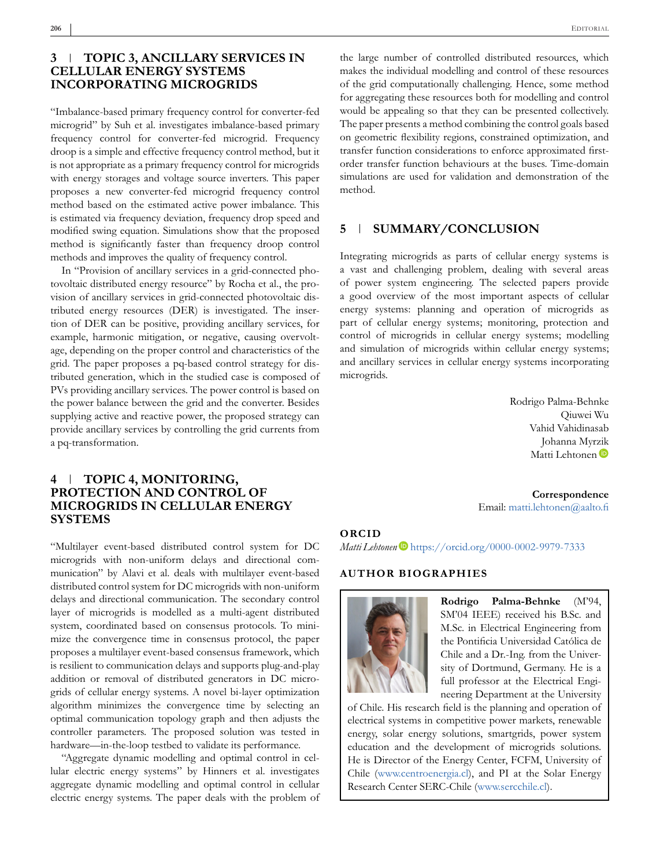#### **3 TOPIC 3, ANCILLARY SERVICES IN CELLULAR ENERGY SYSTEMS INCORPORATING MICROGRIDS**

"Imbalance-based primary frequency control for converter-fed microgrid" by Suh et al. investigates imbalance-based primary frequency control for converter-fed microgrid. Frequency droop is a simple and effective frequency control method, but it is not appropriate as a primary frequency control for microgrids with energy storages and voltage source inverters. This paper proposes a new converter-fed microgrid frequency control method based on the estimated active power imbalance. This is estimated via frequency deviation, frequency drop speed and modified swing equation. Simulations show that the proposed method is significantly faster than frequency droop control methods and improves the quality of frequency control.

In "Provision of ancillary services in a grid-connected photovoltaic distributed energy resource" by Rocha et al., the provision of ancillary services in grid-connected photovoltaic distributed energy resources (DER) is investigated. The insertion of DER can be positive, providing ancillary services, for example, harmonic mitigation, or negative, causing overvoltage, depending on the proper control and characteristics of the grid. The paper proposes a pq-based control strategy for distributed generation, which in the studied case is composed of PVs providing ancillary services. The power control is based on the power balance between the grid and the converter. Besides supplying active and reactive power, the proposed strategy can provide ancillary services by controlling the grid currents from a pq-transformation.

#### **4 TOPIC 4, MONITORING, PROTECTION AND CONTROL OF MICROGRIDS IN CELLULAR ENERGY SYSTEMS**

"Multilayer event-based distributed control system for DC microgrids with non-uniform delays and directional communication" by Alavi et al. deals with multilayer event-based distributed control system for DC microgrids with non-uniform delays and directional communication. The secondary control layer of microgrids is modelled as a multi-agent distributed system, coordinated based on consensus protocols. To minimize the convergence time in consensus protocol, the paper proposes a multilayer event-based consensus framework, which is resilient to communication delays and supports plug-and-play addition or removal of distributed generators in DC microgrids of cellular energy systems. A novel bi-layer optimization algorithm minimizes the convergence time by selecting an optimal communication topology graph and then adjusts the controller parameters. The proposed solution was tested in hardware—in-the-loop testbed to validate its performance.

"Aggregate dynamic modelling and optimal control in cellular electric energy systems" by Hinners et al. investigates aggregate dynamic modelling and optimal control in cellular electric energy systems. The paper deals with the problem of

the large number of controlled distributed resources, which makes the individual modelling and control of these resources of the grid computationally challenging. Hence, some method for aggregating these resources both for modelling and control would be appealing so that they can be presented collectively. The paper presents a method combining the control goals based on geometric flexibility regions, constrained optimization, and transfer function considerations to enforce approximated firstorder transfer function behaviours at the buses. Time-domain simulations are used for validation and demonstration of the method.

#### **5 SUMMARY/CONCLUSION**

Integrating microgrids as parts of cellular energy systems is a vast and challenging problem, dealing with several areas of power system engineering. The selected papers provide a good overview of the most important aspects of cellular energy systems: planning and operation of microgrids as part of cellular energy systems; monitoring, protection and control of microgrids in cellular energy systems; modelling and simulation of microgrids within cellular energy systems; and ancillary services in cellular energy systems incorporating microgrids.

> Rodrigo Palma-Behnke Qiuwei Wu Vahid Vahidinasab Johanna Myr[zik](https://orcid.org/0000-0002-9979-7333) Matti Lehtonen<sup>D</sup>

**Correspondence** Email: [matti.lehtonen@aalto.fi](mailto:matti.lehtonen@aalto.fi)

#### **ORCID**

*Matti Lehtonen* D<https://orcid.org/0000-0002-9979-7333>

#### **AUTHOR BIOGRAPHIES**



**Rodrigo Palma-Behnke** (M'94, SM'04 IEEE) received his B.Sc. and M.Sc. in Electrical Engineering from the Pontificia Universidad Católica de Chile and a Dr.-Ing. from the University of Dortmund, Germany. He is a full professor at the Electrical Engineering Department at the University

of Chile. His research field is the planning and operation of electrical systems in competitive power markets, renewable energy, solar energy solutions, smartgrids, power system education and the development of microgrids solutions. He is Director of the Energy Center, FCFM, University of Chile [\(www.centroenergia.cl\)](http://www.centroenergia.cl), and PI at the Solar Energy Research Center SERC-Chile [\(www.sercchile.cl\)](http://www.sercchile.cl).